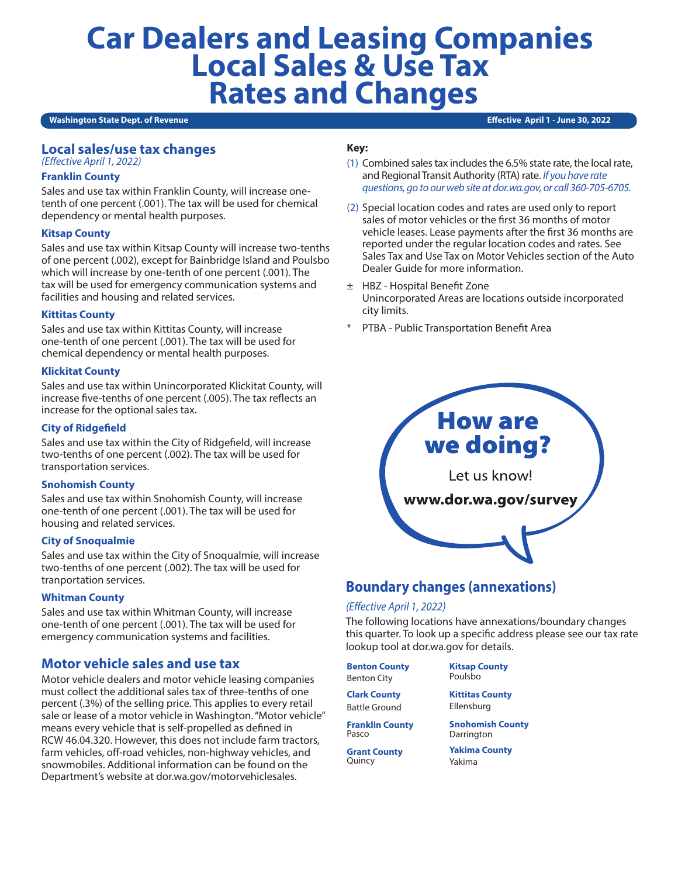# **Car Dealers and Leasing Companies Local Sales & Use Tax Rates and Changes**

#### **Washington State Dept. of Revenue**

**Effective April 1 - June 30, 2022** 

## **Local sales/use tax changes**

*(Effective April 1, 2022)*

#### **Franklin County**

Sales and use tax within Franklin County, will increase onetenth of one percent (.001). The tax will be used for chemical dependency or mental health purposes.

#### **Kitsap County**

Sales and use tax within Kitsap County will increase two-tenths of one percent (.002), except for Bainbridge Island and Poulsbo which will increase by one-tenth of one percent (.001). The tax will be used for emergency communication systems and facilities and housing and related services.

#### **Kittitas County**

Sales and use tax within Kittitas County, will increase one-tenth of one percent (.001). The tax will be used for chemical dependency or mental health purposes.

#### **Klickitat County**

Sales and use tax within Unincorporated Klickitat County, will increase five-tenths of one percent (.005). The tax reflects an increase for the optional sales tax.

#### **City of Ridgefield**

Sales and use tax within the City of Ridgefield, will increase two-tenths of one percent (.002). The tax will be used for transportation services.

#### **Snohomish County**

Sales and use tax within Snohomish County, will increase one-tenth of one percent (.001). The tax will be used for housing and related services.

#### **City of Snoqualmie**

Sales and use tax within the City of Snoqualmie, will increase two-tenths of one percent (.002). The tax will be used for tranportation services.

#### **Whitman County**

Sales and use tax within Whitman County, will increase one-tenth of one percent (.001). The tax will be used for emergency communication systems and facilities.

## **Motor vehicle sales and use tax**

Motor vehicle dealers and motor vehicle leasing companies must collect the additional sales tax of three-tenths of one percent (.3%) of the selling price. This applies to every retail sale or lease of a motor vehicle in Washington. "Motor vehicle" means every vehicle that is self-propelled as defined in RCW 46.04.320. However, this does not include farm tractors, farm vehicles, off-road vehicles, non-highway vehicles, and snowmobiles. Additional information can be found on the Department's website at dor.wa.gov/motorvehiclesales.

#### **Key:**

- (1) Combined sales tax includes the 6.5% state rate, the local rate, and Regional Transit Authority (RTA) rate. *If you have rate questions, go to our web site at dor.wa.gov, or call 360-705-6705.*
- (2) Special location codes and rates are used only to report sales of motor vehicles or the first 36 months of motor vehicle leases. Lease payments after the first 36 months are reported under the regular location codes and rates. See Sales Tax and Use Tax on Motor Vehicles section of the Auto Dealer Guide for more information.
- ± HBZ Hospital Benefit Zone Unincorporated Areas are locations outside incorporated city limits.
- PTBA Public Transportation Benefit Area



# **Boundary changes (annexations)**

#### *(Effective April 1, 2022)*

The following locations have annexations/boundary changes this quarter. To look up a specific address please see our tax rate lookup tool at dor.wa.gov for details.

**Benton County** Benton City

Quincy

**Kitsap County** Poulsbo

**Clark County** Battle Ground

**Kittitas County** Ellensburg

**Franklin County** Pasco

**Grant County**

**Snohomish County** Darrington

**Yakima County** Yakima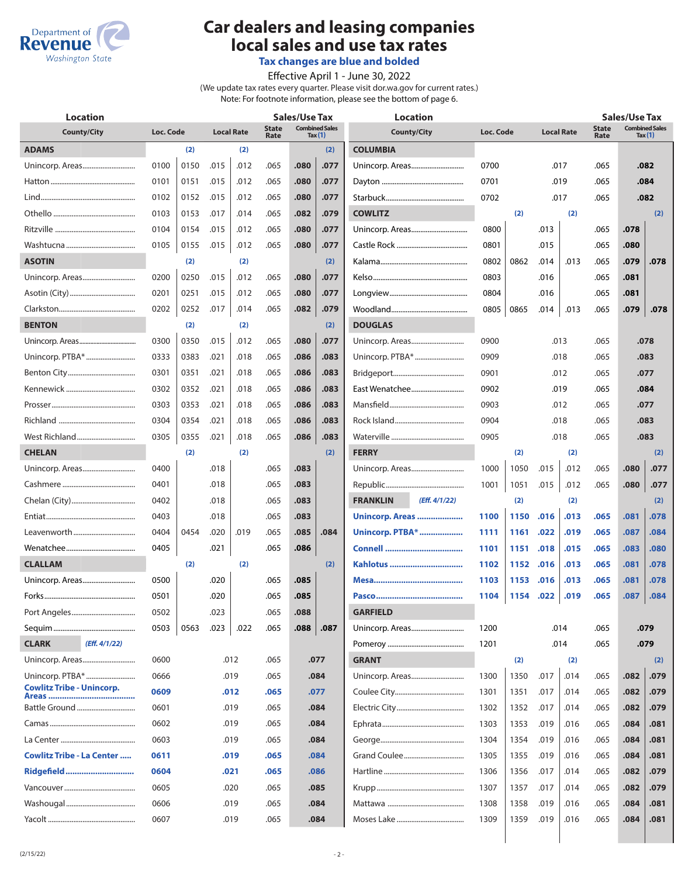

# **Car dealers and leasing companies local sales and use tax rates**

**Tax changes are blue and bolded**

Effective April 1 - June 30, 2022 (We update tax rates every quarter. Please visit dor.wa.gov for current rates.) Note: For footnote information, please see the bottom of page 6.

| <b>Location</b>                   |           |      |      |                   | <b>Sales/Use Tax</b> |      |                                    | <b>Location</b>                  |              |      |      |                   |                      | <b>Sales/Use Tax</b> |                                    |  |
|-----------------------------------|-----------|------|------|-------------------|----------------------|------|------------------------------------|----------------------------------|--------------|------|------|-------------------|----------------------|----------------------|------------------------------------|--|
| <b>County/City</b>                | Loc. Code |      |      | <b>Local Rate</b> | <b>State</b><br>Rate |      | <b>Combined Sales</b><br>Tax $(1)$ | <b>County/City</b>               | Loc. Code    |      |      | <b>Local Rate</b> | <b>State</b><br>Rate |                      | <b>Combined Sales</b><br>Tax $(1)$ |  |
| <b>ADAMS</b>                      |           | (2)  |      | (2)               |                      |      | (2)                                | <b>COLUMBIA</b>                  |              |      |      |                   |                      |                      |                                    |  |
|                                   | 0100      | 0150 | .015 | .012              | .065                 | .080 | .077                               | Unincorp. Areas                  | 0700         |      | .017 |                   | .082<br>.065         |                      |                                    |  |
|                                   | 0101      | 0151 | .015 | .012              | .065                 | .080 | .077                               |                                  | 0701         |      |      | .019<br>.065      |                      | .084                 |                                    |  |
|                                   | 0102      | 0152 | .015 | .012              | .065                 | .080 | .077                               |                                  | 0702         |      |      | .017              | .065                 | .082                 |                                    |  |
|                                   | 0103      | 0153 | .017 | .014              | .065                 | .082 | .079                               | <b>COWLITZ</b>                   |              | (2)  |      | (2)               |                      |                      | (2)                                |  |
|                                   | 0104      | 0154 | .015 | .012              | .065                 | .080 | .077                               | Unincorp. Areas                  | 0800         |      | .013 |                   | .065                 | .078                 |                                    |  |
|                                   | 0105      | 0155 | .015 | .012              | .065                 | .080 | .077                               |                                  | 0801         |      | .015 |                   | .065                 | .080                 |                                    |  |
| <b>ASOTIN</b>                     |           | (2)  |      | (2)               |                      |      | (2)                                |                                  | 0802         | 0862 | .014 | .013              | .065                 | .079                 | .078                               |  |
|                                   | 0200      | 0250 | .015 | .012              | .065                 | .080 | .077                               |                                  | 0803         |      | .016 |                   | .065                 | .081                 |                                    |  |
|                                   | 0201      | 0251 | .015 | .012              | .065                 | .080 | .077                               |                                  | 0804         |      | .016 |                   | .065                 | .081                 |                                    |  |
|                                   | 0202      | 0252 | .017 | .014              | .065                 | .082 | .079                               |                                  | 0805         | 0865 | .014 | .013              | .065                 | .079                 | .078                               |  |
| <b>BENTON</b>                     |           | (2)  |      | (2)               |                      |      | (2)                                | <b>DOUGLAS</b>                   |              |      |      |                   |                      |                      |                                    |  |
|                                   | 0300      | 0350 | .015 | .012              | .065                 | .080 | .077                               | Unincorp. Areas                  | 0900         |      |      | .013              | .065                 |                      | .078                               |  |
|                                   | 0333      | 0383 | .021 | .018              | .065                 | .086 | .083                               |                                  | 0909         |      |      | .018              | .065                 |                      | .083                               |  |
|                                   | 0301      | 0351 | .021 | .018              | .065                 | .086 | .083                               |                                  | 0901         |      |      | .012              | .065                 | .077                 |                                    |  |
|                                   | 0302      | 0352 | .021 | .018              | .065                 | .086 | .083                               | East Wenatchee                   | 0902<br>.019 |      |      | .065              |                      | .084                 |                                    |  |
|                                   | 0303      | 0353 | .021 | .018              | .065                 | .086 | .083                               |                                  | 0903         |      | .012 |                   | .065                 | .077                 |                                    |  |
|                                   | 0304      | 0354 | .021 | .018              | .065                 | .086 | .083                               |                                  | 0904         |      |      | .018              | .065                 | .083                 |                                    |  |
| West Richland                     | 0305      | 0355 | .021 | .018              | .065                 | .086 | .083                               |                                  | 0905         |      |      | .018              | .065                 |                      | .083                               |  |
| <b>CHELAN</b>                     |           | (2)  |      | (2)               |                      |      | (2)                                | <b>FERRY</b>                     |              | (2)  |      | (2)               |                      |                      | (2)                                |  |
| Unincorp. Areas                   | 0400      |      | .018 |                   | .065                 | .083 |                                    |                                  | 1000         | 1050 | .015 | .012              | .065                 | .080                 | .077                               |  |
|                                   | 0401      |      | .018 |                   | .065                 | .083 |                                    |                                  | 1001         | 1051 | .015 | .012              | .065                 | .080                 | .077                               |  |
|                                   | 0402      |      | .018 |                   | .065                 | .083 |                                    | <b>FRANKLIN</b><br>(Eff. 4/1/22) |              | (2)  |      | (2)               |                      |                      | (2)                                |  |
|                                   | 0403      |      | .018 |                   | .065                 | .083 |                                    | Unincorp. Areas                  | 1100         | 1150 | .016 | .013              | .065                 | .081                 | .078                               |  |
| Leavenworth                       | 0404      | 0454 | .020 | .019              | .065                 | .085 | .084                               | <b>Unincorp. PTBA*</b>           | 1111         | 1161 | .022 | .019              | .065                 | .087                 | .084                               |  |
|                                   | 0405      |      | .021 |                   | .065                 | .086 |                                    |                                  | 1101         | 1151 | .018 | .015              | .065                 | .083                 | .080                               |  |
| <b>CLALLAM</b>                    |           | (2)  |      | (2)               |                      |      | (2)                                | Kahlotus                         | 1102         | 1152 | .016 | .013              | .065                 | .081                 | .078                               |  |
| Unincorp. Areas                   | 0500      |      | .020 |                   | .065                 | .085 |                                    |                                  | 1103         | 1153 | .016 | .013              | .065                 | .081                 | .078                               |  |
|                                   | 0501      |      | .020 |                   | .065                 | .085 |                                    |                                  | 1104         | 1154 | .022 | .019              | .065                 | .087                 | .084                               |  |
|                                   | 0502      |      | .023 |                   | .065                 | .088 |                                    | <b>GARFIELD</b>                  |              |      |      |                   |                      |                      |                                    |  |
|                                   | 0503      | 0563 | .023 | .022              | .065                 | .088 | .087                               | Unincorp. Areas                  | 1200         |      |      | .014              | .065                 |                      | .079                               |  |
| <b>CLARK</b><br>(Eff. 4/1/22)     |           |      |      |                   |                      |      |                                    |                                  | 1201         |      |      | .014              | .065                 |                      | .079                               |  |
| Unincorp. Areas                   | 0600      |      |      | .012              | .065                 |      | .077                               | <b>GRANT</b>                     |              | (2)  |      | (2)               |                      |                      | (2)                                |  |
|                                   | 0666      |      |      | .019              | .065                 |      | .084                               | Unincorp. Areas                  | 1300         | 1350 | .017 | .014              | .065                 | .082                 | .079                               |  |
| <b>Cowlitz Tribe - Unincorp.</b>  | 0609      |      |      | .012              | .065                 |      | .077                               |                                  | 1301         | 1351 | .017 | .014              | .065                 | .082                 | .079                               |  |
| Battle Ground                     | 0601      |      |      | .019              | .065                 |      | .084                               |                                  | 1302         | 1352 | .017 | .014              | .065                 | .082                 | .079                               |  |
|                                   | 0602      |      |      | .019              | .065                 |      | .084                               |                                  | 1303         | 1353 | .019 | .016              | .065                 | .084                 | .081                               |  |
|                                   | 0603      |      |      | .019              | .065                 |      | .084                               |                                  | 1304         | 1354 | .019 | .016              | .065                 | .084                 | .081                               |  |
| <b>Cowlitz Tribe - La Center </b> | 0611      |      |      | .019              | .065                 |      | .084                               |                                  | 1305         | 1355 | .019 | .016              | .065                 | .084                 | .081                               |  |
| Ridgefield                        | 0604      |      |      | .021              | .065                 |      | .086                               |                                  | 1306         | 1356 | .017 | .014              | .065                 | .082                 | .079                               |  |
|                                   | 0605      |      |      | .020              | .065                 |      | .085                               |                                  | 1307         | 1357 | .017 | .014              | .065                 | .082                 | .079                               |  |
|                                   | 0606      |      |      | .019              | .065                 |      | .084                               |                                  | 1308         | 1358 | .019 | .016              | .065                 | .084                 | .081                               |  |
|                                   | 0607      |      |      | .019              | .065                 |      | .084                               |                                  | 1309         | 1359 | .019 | .016              | .065                 | .084                 | .081                               |  |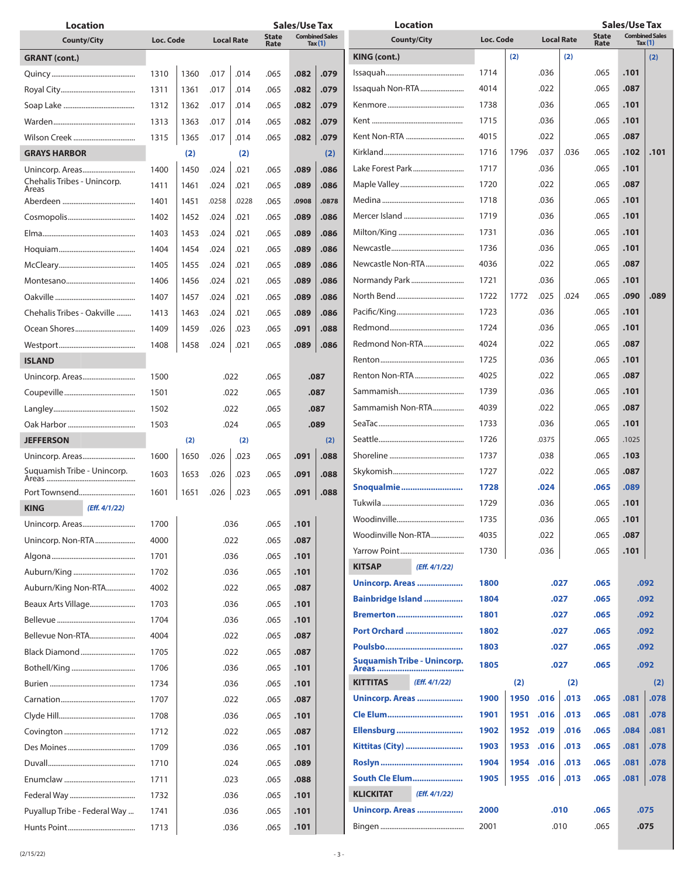| <b>Location</b>              |           |      |       |                   |                      | <b>Sales/Use Tax</b> |                                    | <b>Location</b>                    |           |      |                   |      |                                                            | <b>Sales/Use Tax</b> |      |
|------------------------------|-----------|------|-------|-------------------|----------------------|----------------------|------------------------------------|------------------------------------|-----------|------|-------------------|------|------------------------------------------------------------|----------------------|------|
| <b>County/City</b>           | Loc. Code |      |       | <b>Local Rate</b> | <b>State</b><br>Rate |                      | <b>Combined Sales</b><br>Tax $(1)$ | <b>County/City</b>                 | Loc. Code |      | <b>Local Rate</b> |      | <b>Combined Sales</b><br><b>State</b><br>Tax $(1)$<br>Rate |                      |      |
| <b>GRANT</b> (cont.)         |           |      |       |                   |                      |                      |                                    | KING (cont.)                       |           | (2)  |                   | (2)  |                                                            |                      | (2)  |
|                              | 1310      | 1360 | .017  | .014              | .065                 | .082                 | .079                               |                                    | 1714      |      | .036              |      | .065                                                       | .101                 |      |
|                              | 1311      | 1361 | .017  | .014              | .065                 | .082                 | .079                               | Issaquah Non-RTA                   | 4014      |      | .022              |      | .065                                                       | .087                 |      |
|                              | 1312      | 1362 | .017  | .014              | .065                 | .082                 | .079                               |                                    | 1738      |      | .036              |      | .065                                                       | .101                 |      |
|                              | 1313      | 1363 | .017  | .014              | .065                 | .082                 | .079                               |                                    | 1715      |      | .036              |      | .065                                                       | .101                 |      |
|                              | 1315      | 1365 | .017  | .014              | .065                 | .082                 | .079                               | Kent Non-RTA                       | 4015      |      | .022              |      | .065                                                       | .087                 |      |
| <b>GRAYS HARBOR</b>          |           | (2)  |       | (2)               |                      |                      | (2)                                |                                    | 1716      | 1796 | .037              | .036 | .065                                                       | .102                 | .101 |
| Unincorp. Areas              | 1400      | 1450 | .024  | .021              | .065                 | .089                 | .086                               | Lake Forest Park                   | 1717      |      | .036              |      | .065                                                       | .101                 |      |
| Chehalis Tribes - Unincorp.  | 1411      | 1461 | .024  | .021              | .065                 | .089                 | .086                               |                                    | 1720      |      | .022              |      | .065                                                       | .087                 |      |
| Areas                        | 1401      | 1451 | .0258 | .0228             | .065                 | .0908                | .0878                              |                                    | 1718      |      | .036              |      | .065                                                       | .101                 |      |
|                              | 1402      | 1452 | .024  | .021              | .065                 | .089                 | .086                               |                                    | 1719      |      | .036              |      | .065                                                       | .101                 |      |
|                              | 1403      | 1453 | .024  | .021              | .065                 | .089                 | .086                               |                                    | 1731      |      | .036              |      | .065                                                       | .101                 |      |
|                              | 1404      | 1454 | .024  | .021              | .065                 | .089                 | .086                               |                                    | 1736      |      | .036              |      | .065                                                       | .101                 |      |
|                              | 1405      | 1455 | .024  | .021              | .065                 | .089                 | .086                               | Newcastle Non-RTA                  | 4036      |      | .022              |      | .065                                                       | .087                 |      |
|                              | 1406      | 1456 | .024  | .021              | .065                 | .089                 | .086                               | Normandy Park                      | 1721      |      | .036              |      | .065                                                       | .101                 |      |
|                              |           |      |       |                   |                      |                      |                                    |                                    | 1722      | 1772 | .025              | .024 | .065                                                       | .090                 | .089 |
|                              | 1407      | 1457 | .024  | .021              | .065                 | .089                 | .086                               |                                    | 1723      |      | .036              |      | .065                                                       | .101                 |      |
| Chehalis Tribes - Oakville   | 1413      | 1463 | .024  | .021              | .065                 | .089                 | .086                               |                                    |           |      |                   |      |                                                            |                      |      |
|                              | 1409      | 1459 | .026  | .023              | .065                 | .091                 | .088                               |                                    | 1724      |      | .036              |      | .065                                                       | .101                 |      |
|                              | 1408      | 1458 | .024  | .021              | .065                 | .089                 | .086                               | Redmond Non-RTA                    | 4024      |      | .022              |      | .065                                                       | .087                 |      |
| <b>ISLAND</b>                |           |      |       |                   |                      |                      |                                    |                                    | 1725      |      | .036              |      | .065                                                       | .101                 |      |
| Unincorp. Areas              | 1500      |      |       | .022              | .065                 |                      | .087                               | Renton Non-RTA                     | 4025      |      | .022              |      | .065                                                       | .087                 |      |
|                              | 1501      |      |       | .022              | .065                 |                      | .087                               |                                    | 1739      |      | .036              |      | .065                                                       | .101                 |      |
|                              | 1502      |      |       | .022              | .065                 |                      | .087                               | Sammamish Non-RTA                  | 4039      |      | .022              |      | .065                                                       | .087                 |      |
|                              | 1503      |      |       | .024              | .065                 |                      | .089                               |                                    | 1733      |      | .036              |      | .065                                                       | .101                 |      |
| <b>JEFFERSON</b>             |           | (2)  |       | (2)               |                      |                      | (2)                                |                                    | 1726      |      | .0375             |      | .065                                                       | .1025                |      |
| Unincorp. Areas              | 1600      | 1650 | .026  | .023              | .065                 | .091                 | .088                               |                                    | 1737      |      | .038              |      | .065                                                       | .103                 |      |
| Suquamish Tribe - Unincorp.  | 1603      | 1653 | .026  | .023              | .065                 | .091                 | .088                               |                                    | 1727      |      | .022              |      | .065                                                       | .087                 |      |
| Port Townsend                | 1601      | 1651 | .026  | .023              | .065                 | .091                 | .088                               | Snoqualmie                         | 1728      |      | .024              |      | .065                                                       | .089                 |      |
| KING<br>(Eff. 4/1/22)        |           |      |       |                   |                      |                      |                                    |                                    | 1729      |      | .036              |      | .065                                                       | .101                 |      |
| Unincorp. Areas              | 1700      |      |       | .036              | .065                 | .101                 |                                    |                                    | 1735      |      | .036              |      | .065                                                       | .101                 |      |
| Unincorp. Non-RTA            | 4000      |      |       | .022              | .065                 | .087                 |                                    | Woodinville Non-RTA                | 4035      |      | .022              |      | .065                                                       | .087                 |      |
|                              | 1701      |      |       | .036              | .065                 | .101                 |                                    |                                    | 1730      |      | .036              |      | .065                                                       | .101                 |      |
|                              | 1702      |      |       | .036              | .065                 | .101                 |                                    | <b>KITSAP</b><br>(Eff. 4/1/22)     |           |      |                   |      |                                                            |                      |      |
| Auburn/King Non-RTA          | 4002      |      |       | .022              | .065                 | .087                 |                                    | Unincorp. Areas                    | 1800      |      |                   | .027 | .065                                                       |                      | .092 |
| Beaux Arts Village           | 1703      |      |       | .036              | .065                 | .101                 |                                    | <b>Bainbridge Island </b>          | 1804      |      |                   | .027 | .065                                                       |                      | .092 |
|                              | 1704      |      |       | .036              | .065                 | .101                 |                                    | <b>Bremerton</b>                   | 1801      |      |                   | .027 | .065                                                       |                      | .092 |
| Bellevue Non-RTA             | 4004      |      |       | .022              | .065                 | .087                 |                                    | <b>Port Orchard </b>               | 1802      |      |                   | .027 | .065                                                       |                      | .092 |
| Black Diamond                | 1705      |      |       | .022              | .065                 | .087                 |                                    |                                    | 1803      |      |                   | .027 | .065                                                       |                      | .092 |
|                              | 1706      |      |       | .036              | .065                 | .101                 |                                    | <b>Suquamish Tribe - Unincorp.</b> | 1805      |      |                   | .027 | .065                                                       |                      | .092 |
|                              | 1734      |      |       | .036              | .065                 | .101                 |                                    | <b>KITTITAS</b><br>(Eff. 4/1/22)   |           | (2)  |                   | (2)  |                                                            |                      | (2)  |
|                              | 1707      |      |       | .022              | .065                 | .087                 |                                    | Unincorp. Areas                    | 1900      | 1950 | .016              | .013 | .065                                                       | .081                 | .078 |
|                              | 1708      |      |       | .036              | .065                 | .101                 |                                    | Cle Elum                           | 1901      | 1951 | .016              | .013 | .065                                                       | .081                 | .078 |
|                              | 1712      |      |       | .022              | .065                 | .087                 |                                    | Ellensburg                         | 1902      | 1952 | .019              | .016 | .065                                                       | .084                 | .081 |
|                              | 1709      |      |       | .036              | .065                 | .101                 |                                    | Kittitas (City)                    | 1903      | 1953 | .016              | .013 | .065                                                       | .081                 | .078 |
|                              | 1710      |      |       | .024              | .065                 | .089                 |                                    |                                    | 1904      | 1954 | .016              | .013 | .065                                                       | .081                 | .078 |
|                              | 1711      |      |       | .023              | .065                 | .088                 |                                    | South Cle Elum                     | 1905      | 1955 | .016              | .013 | .065                                                       | .081                 | .078 |
|                              | 1732      |      |       | .036              | .065                 | .101                 |                                    | (Eff. 4/1/22)<br><b>KLICKITAT</b>  |           |      |                   |      |                                                            |                      |      |
| Puyallup Tribe - Federal Way | 1741      |      |       | .036              | .065                 | .101                 |                                    | Unincorp. Areas                    | 2000      |      |                   | .010 | .065                                                       |                      | .075 |
|                              | 1713      |      |       | .036              | .065                 | .101                 |                                    |                                    | 2001      |      |                   | .010 | .065                                                       |                      | .075 |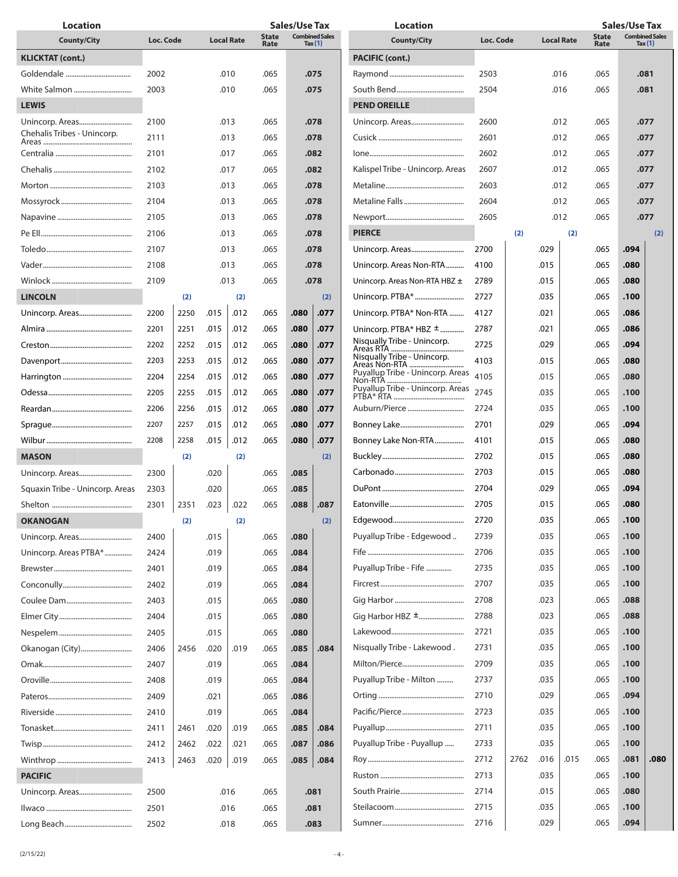| <b>Location</b>                 |           |      |      |                   |                      | <b>Sales/Use Tax</b> |                                    | <b>Location</b>                              |      |                                |              | <b>Sales/Use Tax</b> |                                                     |              |      |  |
|---------------------------------|-----------|------|------|-------------------|----------------------|----------------------|------------------------------------|----------------------------------------------|------|--------------------------------|--------------|----------------------|-----------------------------------------------------|--------------|------|--|
| <b>County/City</b>              | Loc. Code |      |      | <b>Local Rate</b> | <b>State</b><br>Rate |                      | <b>Combined Sales</b><br>Tax $(1)$ | <b>County/City</b>                           |      | Loc. Code<br><b>Local Rate</b> |              |                      | <b>Combined Sales</b><br>State<br>Tax $(1)$<br>Rate |              |      |  |
| <b>KLICKTAT (cont.)</b>         |           |      |      |                   |                      |                      |                                    | <b>PACIFIC (cont.)</b>                       |      |                                |              |                      |                                                     |              |      |  |
|                                 | 2002      |      |      | .010              | .065                 | .075                 |                                    |                                              | 2503 |                                | .016         |                      | .065<br>.081                                        |              |      |  |
| White Salmon                    | 2003      |      |      | .010              | .065                 |                      | .075                               |                                              | 2504 |                                |              | .016                 | .065<br>.081                                        |              |      |  |
| <b>LEWIS</b>                    |           |      |      |                   |                      |                      |                                    | <b>PEND OREILLE</b>                          |      |                                |              |                      |                                                     |              |      |  |
|                                 | 2100      |      |      | .013              | .065                 | .078                 |                                    |                                              | 2600 |                                |              | .012                 | .065<br>.077                                        |              |      |  |
| Chehalis Tribes - Unincorp.     | 2111      |      |      | .013              | .065                 |                      | .078                               |                                              | 2601 |                                |              | .012                 | .065                                                | .077         |      |  |
|                                 | 2101      |      |      | .017              | .065                 |                      | .082                               |                                              | 2602 |                                |              |                      | .065                                                | .077         |      |  |
|                                 | 2102      |      |      | .017              | .065                 |                      | .082                               | Kalispel Tribe - Unincorp. Areas             | 2607 |                                | .012<br>.012 |                      | .065                                                | .077         |      |  |
|                                 | 2103      |      |      | .013              | .065                 |                      | .078                               |                                              | 2603 |                                | .012         |                      |                                                     |              |      |  |
|                                 | 2104      |      |      | .013              | .065                 |                      | .078                               |                                              | 2604 |                                | .012         |                      | .065                                                | .077<br>.065 |      |  |
|                                 |           |      |      |                   |                      |                      |                                    |                                              | 2605 |                                |              | .012                 |                                                     |              | .077 |  |
|                                 | 2105      |      |      | .013              | .065                 |                      | .078                               |                                              |      |                                |              |                      | .065                                                |              | .077 |  |
|                                 | 2106      |      |      | .013              | .065                 |                      | .078                               | <b>PIERCE</b>                                |      | (2)                            | (2)          |                      |                                                     |              | (2)  |  |
|                                 | 2107      |      |      | .013              | .065                 |                      | .078                               | Unincorp. Areas                              | 2700 |                                | .029         |                      | .065                                                | .094         |      |  |
|                                 | 2108      |      |      | .013              | .065                 |                      | .078                               | Unincorp. Areas Non-RTA                      | 4100 |                                | .015         |                      | .065                                                | .080         |      |  |
|                                 | 2109      |      |      | .013              | .065                 |                      | .078                               | Unincorp. Areas Non-RTA HBZ ±                | 2789 |                                | .015         |                      | .065                                                | .080         |      |  |
| <b>LINCOLN</b>                  |           | (2)  |      | (2)               |                      |                      | (2)                                |                                              | 2727 |                                | .035         |                      | .065                                                | .100         |      |  |
| Unincorp. Areas                 | 2200      | 2250 | .015 | .012              | .065                 | .080                 | .077                               | Unincorp. PTBA* Non-RTA                      | 4127 |                                | .021         |                      | .065                                                | .086         |      |  |
|                                 | 2201      | 2251 | .015 | .012              | .065                 | .080                 | .077                               | Unincorp. PTBA* HBZ ±                        | 2787 |                                | .021         |                      | .065                                                | .086         |      |  |
|                                 | 2202      | 2252 | .015 | .012              | .065                 | .080                 | .077                               | Nisqually Tribe - Unincorp.                  | 2725 |                                | .029         |                      | .065                                                | .094         |      |  |
|                                 | 2203      | 2253 | .015 | .012              | .065                 | .080                 | .077                               | Nisqually Tribe - Unincorp.<br>Areas Non-RTA | 4103 |                                | .015         |                      | .065                                                | .080         |      |  |
|                                 | 2204      | 2254 | .015 | .012              | .065                 | .080                 | .077                               | Puyallup Tribe - Unincorp. Areas 4105        |      |                                | .015         |                      | .065                                                | .080         |      |  |
|                                 | 2205      | 2255 | .015 | .012              | .065                 | .080                 | .077                               | Puyallup Tribe - Unincorp. Areas             | 2745 |                                | .035         |                      | .065                                                | .100         |      |  |
|                                 | 2206      | 2256 | .015 | .012              | .065                 | .080                 | .077                               | Auburn/Pierce                                | 2724 |                                | .035         |                      | .065                                                | .100         |      |  |
|                                 | 2207      | 2257 | .015 | .012              | .065                 | .080                 | .077                               |                                              | 2701 |                                | .029         |                      | .065                                                | .094         |      |  |
|                                 | 2208      | 2258 | .015 | .012              | .065                 | .080                 | .077                               | Bonney Lake Non-RTA                          | 4101 |                                | .015         |                      | .065<br>.080                                        |              |      |  |
| <b>MASON</b>                    |           | (2)  |      | (2)               |                      |                      | (2)                                |                                              | 2702 |                                | .015         |                      | .065                                                | .080         |      |  |
|                                 | 2300      |      | .020 |                   | .065                 | .085                 |                                    |                                              | 2703 |                                | .015         |                      | .065                                                | .080         |      |  |
| Squaxin Tribe - Unincorp. Areas | 2303      |      | .020 |                   | .065                 | .085                 |                                    |                                              | 2704 |                                | .029         |                      | .065                                                | .094         |      |  |
|                                 | 2301      | 2351 | .023 | .022              | .065                 | .088                 | .087                               |                                              | 2705 |                                | .015         |                      | .065                                                | .080         |      |  |
| <b>OKANOGAN</b>                 |           | (2)  |      | (2)               |                      |                      | (2)                                |                                              | 2720 |                                | .035         |                      | .065                                                | .100         |      |  |
|                                 | 2400      |      | .015 |                   | .065                 | .080                 |                                    | Puyallup Tribe - Edgewood                    | 2739 |                                | .035         |                      | .065                                                | .100         |      |  |
| Unincorp. Areas PTBA*           | 2424      |      | .019 |                   | .065                 | .084                 |                                    |                                              | 2706 |                                | .035         |                      | .065                                                | .100         |      |  |
|                                 | 2401      |      | .019 |                   | .065                 | .084                 |                                    | Puyallup Tribe - Fife                        | 2735 |                                | .035         |                      | .065                                                | .100         |      |  |
|                                 | 2402      |      | .019 |                   | .065                 | .084                 |                                    |                                              | 2707 |                                | .035         |                      | .065                                                | .100         |      |  |
|                                 | 2403      |      | .015 |                   | .065                 | .080                 |                                    |                                              | 2708 |                                | .023         |                      | .065                                                | .088         |      |  |
|                                 | 2404      |      | .015 |                   | .065                 | .080                 |                                    |                                              | 2788 |                                | .023         |                      | .065                                                | .088         |      |  |
|                                 | 2405      |      | .015 |                   | .065                 | .080                 |                                    |                                              | 2721 |                                | .035         |                      | .065                                                | .100         |      |  |
|                                 | 2406      |      |      | .019              | .065                 |                      |                                    | Nisqually Tribe - Lakewood.                  | 2731 |                                | .035         |                      | .065                                                | .100         |      |  |
| Okanogan (City)                 |           | 2456 | .020 |                   |                      | .085                 | .084                               |                                              | 2709 |                                | .035         |                      | .065                                                | .100         |      |  |
|                                 | 2407      |      | .019 |                   | .065                 | .084                 |                                    |                                              |      |                                |              |                      |                                                     |              |      |  |
|                                 | 2408      |      | .019 |                   | .065                 | .084                 |                                    | Puyallup Tribe - Milton                      | 2737 |                                | .035         |                      | .065                                                | .100         |      |  |
|                                 | 2409      |      | .021 |                   | .065                 | .086                 |                                    |                                              | 2710 |                                | .029         |                      | .065                                                | .094         |      |  |
|                                 | 2410      |      | .019 |                   | .065                 | .084                 |                                    |                                              | 2723 |                                | .035         |                      | .065                                                | .100         |      |  |
|                                 | 2411      | 2461 | .020 | .019              | .065                 | .085                 | .084                               |                                              | 2711 |                                | .035         |                      | .065                                                | .100         |      |  |
|                                 | 2412      | 2462 | .022 | .021              | .065                 | .087                 | .086                               | Puyallup Tribe - Puyallup                    | 2733 |                                | .035         |                      | .065                                                | .100         |      |  |
|                                 | 2413      | 2463 | .020 | .019              | .065                 | .085                 | .084                               |                                              | 2712 | 2762                           | .016         | .015                 | .065                                                | .081         | .080 |  |
| <b>PACIFIC</b>                  |           |      |      |                   |                      |                      |                                    |                                              | 2713 |                                | .035         |                      | .065                                                | .100         |      |  |
| Unincorp. Areas                 | 2500      |      |      | .016              | .065                 |                      | .081                               |                                              | 2714 |                                | .015         |                      | .065                                                | .080         |      |  |
|                                 | 2501      |      |      | .016              | .065                 |                      | .081                               |                                              | 2715 |                                | .035         |                      | .065                                                | .100         |      |  |
|                                 | 2502      |      |      | .018              | .065                 |                      | .083                               |                                              | 2716 |                                | .029         |                      | .065                                                | .094         |      |  |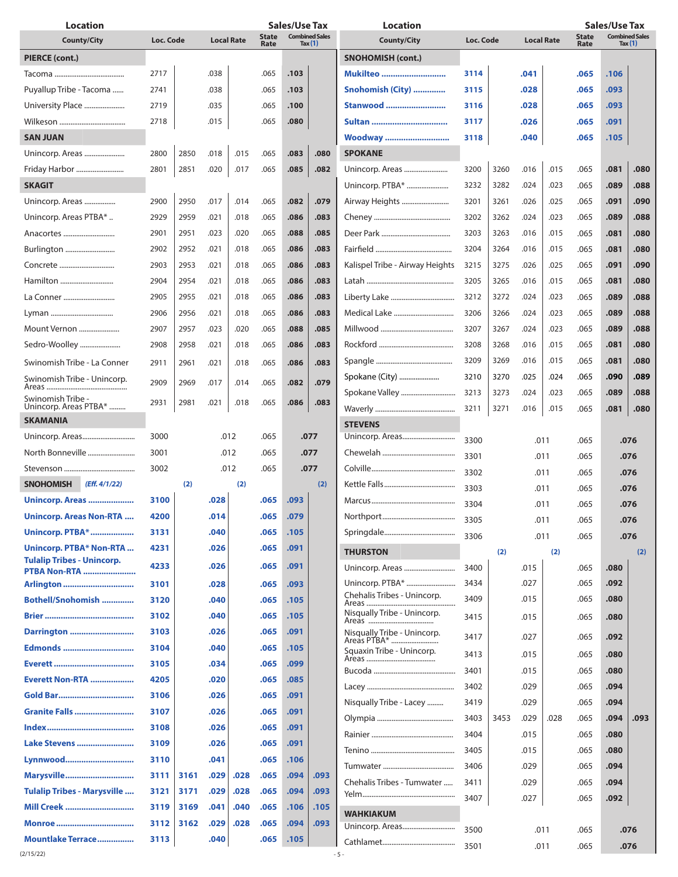| <b>Location</b>                                              |           | <b>Sales/Use Tax</b> |                   | <b>Location</b> |               |      |                                    |                                   | <b>Sales/Use Tax</b>           |      |              |      |                                                    |      |      |
|--------------------------------------------------------------|-----------|----------------------|-------------------|-----------------|---------------|------|------------------------------------|-----------------------------------|--------------------------------|------|--------------|------|----------------------------------------------------|------|------|
| <b>County/City</b>                                           | Loc. Code |                      | <b>Local Rate</b> |                 | State<br>Rate |      | <b>Combined Sales</b><br>Tax $(1)$ | <b>County/City</b>                | Loc. Code<br><b>Local Rate</b> |      |              | Rate | <b>Combined Sales</b><br><b>State</b><br>Tax $(1)$ |      |      |
| PIERCE (cont.)                                               |           |                      |                   |                 |               |      |                                    | <b>SNOHOMISH (cont.)</b>          |                                |      |              |      |                                                    |      |      |
|                                                              | 2717      |                      | .038              |                 | .065          | .103 |                                    | <b>Mukilteo </b>                  | 3114                           |      | .041         |      | .065                                               | .106 |      |
| Puyallup Tribe - Tacoma                                      | 2741      |                      | .038              |                 | .065          | .103 |                                    | Snohomish (City)                  | 3115                           |      | .028         |      | .065                                               | .093 |      |
| University Place                                             | 2719      |                      | .035              |                 | .065          | .100 |                                    | Stanwood                          | 3116                           |      | .028         |      | .065                                               | .093 |      |
|                                                              | 2718      |                      | .015              |                 | .065          | .080 |                                    | Sultan                            | 3117                           |      | .026         |      | .065                                               | .091 |      |
| <b>SAN JUAN</b>                                              |           |                      |                   |                 |               |      |                                    | Woodway                           | 3118                           |      | .040         |      | .065                                               | .105 |      |
| Unincorp. Areas                                              | 2800      | 2850                 | .018              | .015            | .065          | .083 | .080                               | <b>SPOKANE</b>                    |                                |      |              |      |                                                    |      |      |
| Friday Harbor                                                | 2801      | 2851                 | .020              | .017            | .065          | .085 | .082                               | Unincorp. Areas                   | 3200                           | 3260 | .016         | .015 | .065                                               | .081 | .080 |
| <b>SKAGIT</b>                                                |           |                      |                   |                 |               |      |                                    | Unincorp. PTBA*                   | 3232                           | 3282 | .024         | .023 | .065                                               | .089 | .088 |
| Unincorp. Areas                                              | 2900      | 2950                 | .017              | .014            | .065          | .082 | .079                               | Airway Heights                    | 3201                           | 3261 | .026         | .025 | .065                                               | .091 | .090 |
| Unincorp. Areas PTBA*                                        | 2929      | 2959                 | .021              | .018            | .065          | .086 | .083                               |                                   | 3202                           | 3262 | .024         | .023 | .065                                               | .089 | .088 |
| Anacortes                                                    | 2901      | 2951                 | .023              | .020            | .065          | .088 | .085                               |                                   | 3203                           | 3263 | .016         | .015 | .065                                               | .081 | .080 |
| Burlington                                                   | 2902      | 2952                 | .021              | .018            | .065          | .086 | .083                               |                                   | 3204                           | 3264 | .016         | .015 | .065                                               | .081 | .080 |
| Concrete                                                     | 2903      | 2953                 | .021              | .018            | .065          | .086 | .083                               | Kalispel Tribe - Airway Heights   | 3215                           | 3275 | .026         | .025 | .065                                               | .091 | .090 |
| Hamilton                                                     | 2904      | 2954                 | .021              | .018            | .065          | .086 | .083                               |                                   | 3205                           | 3265 | .016         | .015 | .065                                               | .081 | .080 |
| La Conner                                                    | 2905      | 2955                 | .021              | .018            | .065          | .086 | .083                               |                                   | 3212                           | 3272 | .024         | .023 | .065                                               | .089 | .088 |
| Lyman                                                        | 2906      | 2956                 | .021              | .018            | .065          | .086 | .083                               | Medical Lake                      | 3206                           | 3266 | .024         | .023 | .065                                               | .089 | .088 |
| Mount Vernon                                                 | 2907      | 2957                 | .023              | .020            | .065          | .088 | .085                               |                                   | 3207                           | 3267 | .024         | .023 | .065                                               | .089 | .088 |
|                                                              | 2908      | 2958                 | .021              | .018            | .065          | .086 | .083                               |                                   | 3208                           | 3268 | .016         | .015 | .065                                               |      |      |
| Sedro-Woolley                                                |           |                      |                   |                 |               |      |                                    |                                   |                                |      |              |      |                                                    | .081 | .080 |
| Swinomish Tribe - La Conner                                  | 2911      | 2961                 | .021              | .018            | .065          | .086 | .083                               |                                   | 3209                           | 3269 | .016         | .015 | .065                                               | .081 | .080 |
| Swinomish Tribe - Unincorp.                                  | 2909      | 2969                 | .017              | .014            | .065          | .082 | .079                               | Spokane (City)                    | 3210                           | 3270 | .025         | .024 | .065                                               | .090 | .089 |
| Swinomish Tribe -<br>Unincorp. Areas PTBA*                   | 2931      | 2981                 | .021              | .018            | .065          | .086 | .083                               | Spokane Valley                    | 3213                           | 3273 | .024         | .023 | .065                                               | .089 | .088 |
| <b>SKAMANIA</b>                                              |           |                      |                   |                 |               |      |                                    |                                   | 3211                           | 3271 | .016         | .015 | .065                                               | .081 | .080 |
|                                                              | 3000      |                      |                   | .012            | .065          |      | .077                               | <b>STEVENS</b><br>Unincorp. Areas |                                |      |              |      |                                                    |      |      |
| North Bonneville                                             | 3001      |                      |                   | .012            | .065          |      | .077                               |                                   | 3300                           |      | .011         |      | .065                                               |      | .076 |
|                                                              | 3002      |                      |                   | .012            | .065          |      | .077                               |                                   | 3301                           |      | .011         |      | .065                                               |      | .076 |
| <b>SNOHOMISH</b><br>(Eff. 4/1/22)                            |           | (2)                  |                   | (2)             |               |      | (2)                                |                                   | 3302                           |      | .011         |      | .065                                               |      | .076 |
| Unincorp. Areas                                              | 3100      |                      | .028              |                 | .065          | .093 |                                    |                                   | 3303                           |      | .011         |      | .065                                               |      | .076 |
|                                                              | 4200      |                      |                   |                 | .065          |      |                                    |                                   | 3304                           |      | .011         |      | .065<br>.076                                       |      |      |
| <b>Unincorp. Areas Non-RTA </b>                              |           |                      | .014              |                 |               | .079 |                                    |                                   | 3305                           |      | .011         |      | .065                                               | .076 |      |
| Unincorp. PTBA*                                              | 3131      |                      | .040              |                 | .065          | .105 |                                    |                                   | 3306                           |      | .011         |      | .065                                               |      | .076 |
| Unincorp. PTBA* Non-RTA<br><b>Tulalip Tribes - Unincorp.</b> | 4231      |                      | .026              |                 | .065          | .091 |                                    | <b>THURSTON</b>                   |                                | (2)  |              | (2)  |                                                    |      | (2)  |
| <b>PTBA Non-RTA </b>                                         | 4233      |                      | .026              |                 | .065          | .091 |                                    | Unincorp. Areas                   | 3400                           |      | .015         |      | .065                                               | .080 |      |
| Arlington                                                    | 3101      |                      | .028              |                 | .065          | .093 |                                    | Unincorp. PTBA*                   | 3434                           |      | .027         |      | .065                                               | .092 |      |
| Bothell/Snohomish                                            | 3120      |                      | .040              |                 | .065          | .105 |                                    | Chehalis Tribes - Unincorp.       | 3409                           |      | .015         |      | .065                                               | .080 |      |
|                                                              | 3102      |                      | .040              |                 | .065          | .105 |                                    | Nisqually Tribe - Unincorp.       | 3415                           |      | .015         |      | .065                                               | .080 |      |
| Darrington                                                   | 3103      |                      | .026              |                 | .065          | .091 |                                    | Nisqually Tribe - Unincorp.       | 3417                           | .027 |              |      | .065                                               | .092 |      |
| Edmonds                                                      | 3104      |                      | .040              |                 | .065          | .105 |                                    | Squaxin Tribe - Unincorp.         | 3413                           |      | .015         |      | .065                                               | .080 |      |
|                                                              | 3105      |                      | .034              |                 | .065          | .099 |                                    |                                   | 3401                           |      | .015         |      | .065                                               | .080 |      |
| Everett Non-RTA                                              | 4205      |                      | .020              |                 | .065          | .085 |                                    |                                   | 3402                           |      | .029         |      | .065                                               | .094 |      |
|                                                              | 3106      |                      | .026              |                 | .065          | .091 |                                    | Nisqually Tribe - Lacey           | 3419                           |      | .029         |      | .065                                               | .094 |      |
| <b>Granite Falls </b>                                        | 3107      |                      | .026              |                 | .065          | .091 |                                    |                                   | 3403                           | 3453 | .029         | .028 | .065                                               | .094 | .093 |
|                                                              | 3108      |                      | .026              |                 | .065          | .091 |                                    |                                   | 3404                           |      |              |      |                                                    | .080 |      |
| Lake Stevens                                                 | 3109      |                      | .026              |                 | .065          | .091 |                                    |                                   | 3405                           |      | .015<br>.015 |      | .065<br>.065                                       | .080 |      |
| Lynnwood                                                     | 3110      |                      | .041              |                 | .065          | .106 |                                    |                                   |                                |      |              |      |                                                    |      |      |
| Marysville                                                   | 3111      | 3161                 | .029              | .028            | .065          | .094 | .093                               |                                   | 3406                           |      | .029         |      | .065                                               | .094 |      |
| Tulalip Tribes - Marysville                                  | 3121      | 3171                 | .029              | .028            | .065          | .094 | .093                               | Chehalis Tribes - Tumwater        | 3411                           |      | .029         |      | .065                                               | .094 |      |
| <b>Mill Creek </b>                                           | 3119      | 3169                 | .041              | .040            | .065          | .106 | .105                               |                                   | 3407                           |      | .027         |      | .065                                               | .092 |      |
|                                                              | 3112      | 3162                 | .029              | .028            | .065          | .094 | .093                               | <b>WAHKIAKUM</b>                  |                                |      |              |      |                                                    |      |      |
| <b>Mountlake Terrace</b>                                     | 3113      |                      | .040              |                 | .065          | .105 |                                    |                                   | 3500                           |      | .011         |      | .065                                               |      | .076 |
|                                                              |           |                      |                   |                 |               |      |                                    |                                   | 3501                           |      | .011         |      | .065                                               |      | .076 |

 $(2/15/22)$   $-5$  -